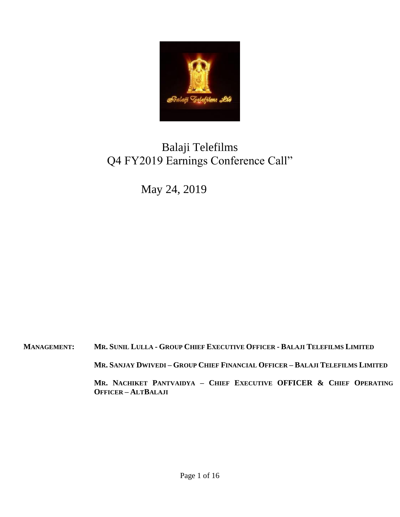

# Balaji Telefilms Q4 FY2019 Earnings Conference Call"

May 24, 2019

MANAGEMENT: MR. SUNIL LULLA - GROUP CHIEF EXECUTIVE OFFICER - BALAJI TELEFILMS LIMITED

MR. SANJAY DWIVEDI - GROUP CHIEF FINANCIAL OFFICER - BALAJI TELEFILMS LIMITED

**MR. NACHIKET PANTVAIDYA – CHIEF EXECUTIVE OFFICER & CHIEF OPERATING OFFICER – ALTBALAJI**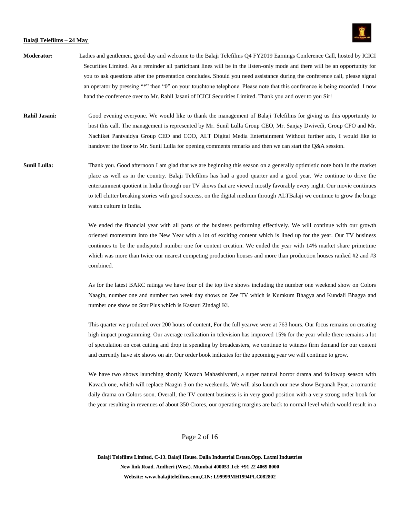

- **Moderator:** Ladies and gentlemen, good day and welcome to the Balaji Telefilms Q4 FY2019 Earnings Conference Call, hosted by ICICI Securities Limited. As a reminder all participant lines will be in the listen-only mode and there will be an opportunity for you to ask questions after the presentation concludes. Should you need assistance during the conference call, please signal an operator by pressing "\*" then "0" on your touchtone telephone. Please note that this conference is being recorded. I now hand the conference over to Mr. Rahil Jasani of ICICI Securities Limited. Thank you and over to you Sir!
- **Rahil Jasani:** Good evening everyone. We would like to thank the management of Balaji Telefilms for giving us this opportunity to host this call. The management is represented by Mr. Sunil Lulla Group CEO, Mr. Sanjay Dwivedi, Group CFO and Mr. Nachiket Pantvaidya Group CEO and COO, ALT Digital Media Entertainment Without further ado, I would like to handover the floor to Mr. Sunil Lulla for opening comments remarks and then we can start the Q&A session.
- **Sunil Lulla:** Thank you. Good afternoon I am glad that we are beginning this season on a generally optimistic note both in the market place as well as in the country. Balaji Telefilms has had a good quarter and a good year. We continue to drive the entertainment quotient in India through our TV shows that are viewed mostly favorably every night. Our movie continues to tell clutter breaking stories with good success, on the digital medium through ALTBalaji we continue to grow the binge watch culture in India.

We ended the financial year with all parts of the business performing effectively. We will continue with our growth oriented momentum into the New Year with a lot of exciting content which is lined up for the year. Our TV business continues to be the undisputed number one for content creation. We ended the year with 14% market share primetime which was more than twice our nearest competing production houses and more than production houses ranked #2 and #3 combined.

As for the latest BARC ratings we have four of the top five shows including the number one weekend show on Colors Naagin, number one and number two week day shows on Zee TV which is Kumkum Bhagya and Kundali Bhagya and number one show on Star Plus which is Kasauti Zindagi Ki.

This quarter we produced over 200 hours of content, For the full yearwe were at 763 hours. Our focus remains on creating high impact programming. Our average realization in television has improved 15% for the year while there remains a lot of speculation on cost cutting and drop in spending by broadcasters, we continue to witness firm demand for our content and currently have six shows on air. Our order book indicates for the upcoming year we will continue to grow.

We have two shows launching shortly Kavach Mahashivratri, a super natural horror drama and followup season with Kavach one, which will replace Naagin 3 on the weekends. We will also launch our new show Bepanah Pyar, a romantic daily drama on Colors soon. Overall, the TV content business is in very good position with a very strong order book for the year resulting in revenues of about 350 Crores, our operating margins are back to normal level which would result in a

# Page 2 of 16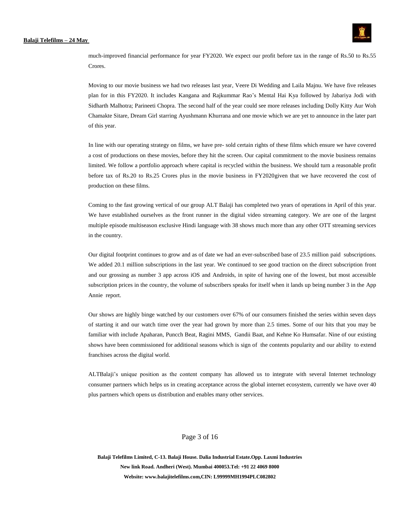

much-improved financial performance for year FY2020. We expect our profit before tax in the range of Rs.50 to Rs.55 Crores.

Moving to our movie business we had two releases last year, Veere Di Wedding and Laila Majnu. We have five releases plan for in this FY2020. It includes Kangana and Rajkummar Rao's Mental Hai Kya followed by Jabariya Jodi with Sidharth Malhotra; Parineeti Chopra. The second half of the year could see more releases including Dolly Kitty Aur Woh Chamakte Sitare, Dream Girl starring Ayushmann Khurrana and one movie which we are yet to announce in the later part of this year.

In line with our operating strategy on films, we have pre- sold certain rights of these films which ensure we have covered a cost of productions on these movies, before they hit the screen. Our capital commitment to the movie business remains limited. We follow a portfolio approach where capital is recycled within the business. We should turn a reasonable profit before tax of Rs.20 to Rs.25 Crores plus in the movie business in FY2020given that we have recovered the cost of production on these films.

Coming to the fast growing vertical of our group ALT Balaji has completed two years of operations in April of this year. We have established ourselves as the front runner in the digital video streaming category. We are one of the largest multiple episode multiseason exclusive Hindi language with 38 shows much more than any other OTT streaming services in the country.

Our digital footprint continues to grow and as of date we had an ever-subscribed base of 23.5 million paid subscriptions. We added 20.1 million subscriptions in the last year. We continued to see good traction on the direct subscription front and our grossing as number 3 app across iOS and Androids, in spite of having one of the lowest, but most accessible subscription prices in the country, the volume of subscribers speaks for itself when it lands up being number 3 in the App Annie report.

Our shows are highly binge watched by our customers over 67% of our consumers finished the series within seven days of starting it and our watch time over the year had grown by more than 2.5 times. Some of our hits that you may be familiar with include Apaharan, Puncch Beat, Ragini MMS, Gandii Baat, and Kehne Ko Humsafar. Nine of our existing shows have been commissioned for additional seasons which is sign of the contents popularity and our ability to extend franchises across the digital world.

ALTBalaji's unique position as the content company has allowed us to integrate with several Internet technology consumer partners which helps us in creating acceptance across the global internet ecosystem, currently we have over 40 plus partners which opens us distribution and enables many other services.

# Page 3 of 16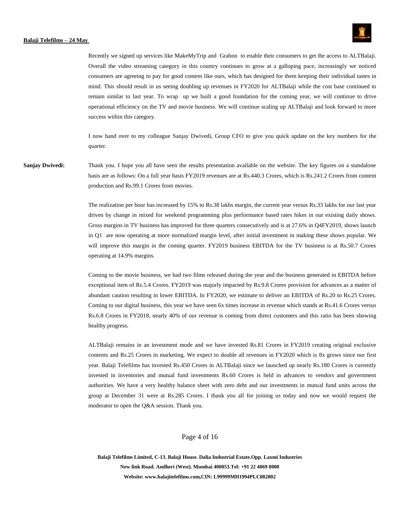

Recently we signed up services like MakeMyTrip and Grabon to enable their consumers to get the access to ALTBalaji. Overall the video streaming category in this country continues to grow at a galloping pace, increasingly we noticed consumers are agreeing to pay for good content like ours, which has designed for them keeping their individual tastes in mind. This should result in us seeing doubling up revenues in FY2020 for ALTBalaji while the cost base continued to remain similar to last year. To wrap up we built a good foundation for the coming year, we will continue to drive operational efficiency on the TV and movie business. We will continue scaling up ALTBalaji and look forward to more success within this category.

I now hand over to my colleague Sanjay Dwivedi, Group CFO to give you quick update on the key numbers for the quarter.

**Sanjay Dwivedi:** Thank you. I hope you all have seen the results presentation available on the website. The key figures on a standalone basis are as follows: On a full year basis FY2019 revenues are at Rs.440.3 Crores, which is Rs.241.2 Crores from content production and Rs.99.1 Crores from movies.

> The realization per hour has increased by 15% to Rs.38 lakhs margin, the current year versus Rs.33 lakhs for our last year driven by change in mixed for weekend programming plus performance based rates hikes in our existing daily shows. Gross margins in TV business has improved for three quarters consecutively and is at 27.6% in Q4FY2019, shows launch in Q1 are now operating at more normalized margin level, after initial investment in making these shows popular. We will improve this margin in the coming quarter. FY2019 business EBITDA for the TV business is at Rs.50.7 Crores operating at 14.9% margins.

> Coming to the movie business, we had two films released during the year and the business generated in EBITDA before exceptional item of Rs.5.4 Crores. FY2019 was majorly impacted by Rs.9.8 Crores provision for advances as a matter of abundant caution resulting in lower EBITDA. In FY2020, we estimate to deliver an EBITDA of Rs.20 to Rs.25 Crores. Coming to our digital business, this year we have seen 6x times increase in revenue which stands at Rs.41.6 Crores versus Rs.6.8 Crores in FY2018, nearly 40% of our revenue is coming from direct customers and this ratio has been showing healthy progress.

> ALTBalaji remains in an investment mode and we have invested Rs.81 Crores in FY2019 creating original exclusive contents and Rs.25 Crores in marketing. We expect to double all revenues in FY2020 which is 8x grows since our first year. Balaji Telefilms has invested Rs.450 Crores in ALTBalaji since we launched up nearly Rs.180 Crores is currently invested in inventories and mutual fund investments Rs.60 Crores is held in advances to vendors and government authorities. We have a very healthy balance sheet with zero debt and our investments in mutual fund units across the group at December 31 were at Rs.285 Crores. I thank you all for joining us today and now we would request the moderator to open the Q&A session. Thank you.

# Page 4 of 16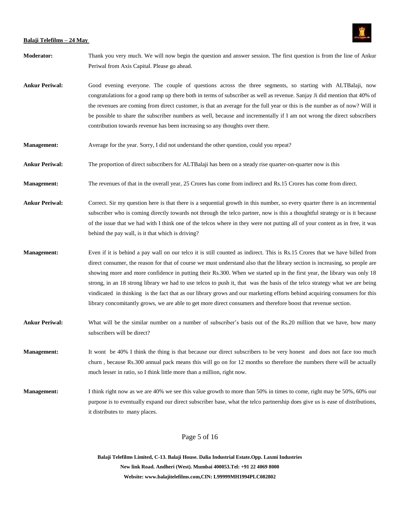

- **Moderator:** Thank you very much. We will now begin the question and answer session. The first question is from the line of Ankur Periwal from Axis Capital. Please go ahead.
- **Ankur Periwal:** Good evening everyone. The couple of questions across the three segments, so starting with ALTBalaji, now congratulations for a good ramp up there both in terms of subscriber as well as revenue. Sanjay Ji did mention that 40% of the revenues are coming from direct customer, is that an average for the full year or this is the number as of now? Will it be possible to share the subscriber numbers as well, because and incrementally if I am not wrong the direct subscribers contribution towards revenue has been increasing so any thoughts over there.
- **Management:** Average for the year. Sorry, I did not understand the other question, could you repeat?
- **Ankur Periwal:** The proportion of direct subscribers for ALTBalaji has been on a steady rise quarter-on-quarter now is this
- **Management:** The revenues of that in the overall year, 25 Crores has come from indirect and Rs.15 Crores has come from direct.
- **Ankur Periwal:** Correct. Sir my question here is that there is a sequential growth in this number, so every quarter there is an incremental subscriber who is coming directly towards not through the telco partner, now is this a thoughtful strategy or is it because of the issue that we had with I think one of the telcos where in they were not putting all of your content as in free, it was behind the pay wall, is it that which is driving?
- **Management:** Even if it is behind a pay wall on our telco it is still counted as indirect. This is Rs.15 Crores that we have billed from direct consumer, the reason for that of course we must understand also that the library section is increasing, so people are showing more and more confidence in putting their Rs.300. When we started up in the first year, the library was only 18 strong, in an 18 strong library we had to use telcos to push it, that was the basis of the telco strategy what we are being vindicated in thinking is the fact that as our library grows and our marketing efforts behind acquiring consumers for this library concomitantly grows, we are able to get more direct consumers and therefore boost that revenue section.
- **Ankur Periwal:** What will be the similar number on a number of subscriber's basis out of the Rs.20 million that we have, how many subscribers will be direct?

**Management:** It wont be 40% I think the thing is that because our direct subscribers to be very honest and does not face too much churn , because Rs.300 annual pack means this will go on for 12 months so therefore the numbers there will be actually much lesser in ratio, so I think little more than a million, right now.

**Management:** I think right now as we are 40% we see this value growth to more than 50% in times to come, right may be 50%, 60% our purpose is to eventually expand our direct subscriber base, what the telco partnership does give us is ease of distributions, it distributes to many places.

Page 5 of 16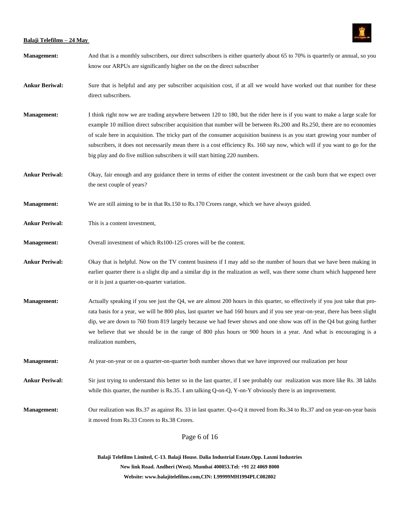

| <b>Management:</b>    | And that is a monthly subscribers, our direct subscribers is either quarterly about 65 to 70% is quarterly or annual, so you<br>know our ARPUs are significantly higher on the on the direct subscriber                                                                                                                                                                                                                                                                                                                                                                                       |  |
|-----------------------|-----------------------------------------------------------------------------------------------------------------------------------------------------------------------------------------------------------------------------------------------------------------------------------------------------------------------------------------------------------------------------------------------------------------------------------------------------------------------------------------------------------------------------------------------------------------------------------------------|--|
| <b>Ankur Beriwal:</b> | Sure that is helpful and any per subscriber acquisition cost, if at all we would have worked out that number for these<br>direct subscribers.                                                                                                                                                                                                                                                                                                                                                                                                                                                 |  |
| <b>Management:</b>    | I think right now we are trading anywhere between 120 to 180, but the rider here is if you want to make a large scale for<br>example 10 million direct subscriber acquisition that number will be between Rs.200 and Rs.250, there are no economies<br>of scale here in acquisition. The tricky part of the consumer acquisition business is as you start growing your number of<br>subscribers, it does not necessarily mean there is a cost efficiency Rs. 160 say now, which will if you want to go for the<br>big play and do five million subscribers it will start hitting 220 numbers. |  |
| <b>Ankur Periwal:</b> | Okay, fair enough and any guidance there in terms of either the content investment or the cash burn that we expect over<br>the next couple of years?                                                                                                                                                                                                                                                                                                                                                                                                                                          |  |
| <b>Management:</b>    | We are still aiming to be in that Rs.150 to Rs.170 Crores range, which we have always guided.                                                                                                                                                                                                                                                                                                                                                                                                                                                                                                 |  |
| <b>Ankur Periwal:</b> | This is a content investment,                                                                                                                                                                                                                                                                                                                                                                                                                                                                                                                                                                 |  |
| <b>Management:</b>    | Overall investment of which Rs100-125 crores will be the content.                                                                                                                                                                                                                                                                                                                                                                                                                                                                                                                             |  |
| <b>Ankur Periwal:</b> | Okay that is helpful. Now on the TV content business if I may add so the number of hours that we have been making in<br>earlier quarter there is a slight dip and a similar dip in the realization as well, was there some churn which happened here<br>or it is just a quarter-on-quarter variation.                                                                                                                                                                                                                                                                                         |  |
| <b>Management:</b>    | Actually speaking if you see just the Q4, we are almost 200 hours in this quarter, so effectively if you just take that pro-<br>rata basis for a year, we will be 800 plus, last quarter we had 160 hours and if you see year-on-year, there has been slight<br>dip, we are down to 760 from 819 largely because we had fewer shows and one show was off in the Q4 but going further<br>we believe that we should be in the range of 800 plus hours or 900 hours in a year. And what is encouraging is a<br>realization numbers,                                                              |  |
| <b>Management:</b>    | At year-on-year or on a quarter-on-quarter both number shows that we have improved our realization per hour                                                                                                                                                                                                                                                                                                                                                                                                                                                                                   |  |
| <b>Ankur Periwal:</b> | Sir just trying to understand this better so in the last quarter, if I see probably our realization was more like Rs. 38 lakhs<br>while this quarter, the number is Rs.35. I am talking $Q$ -on- $Q$ , Y-on-Y obviously there is an improvement.                                                                                                                                                                                                                                                                                                                                              |  |
| <b>Management:</b>    | Our realization was Rs.37 as against Rs. 33 in last quarter. Q-o-Q it moved from Rs.34 to Rs.37 and on year-on-year basis<br>it moved from Rs.33 Crores to Rs.38 Crores.                                                                                                                                                                                                                                                                                                                                                                                                                      |  |
| Page 6 of 16          |                                                                                                                                                                                                                                                                                                                                                                                                                                                                                                                                                                                               |  |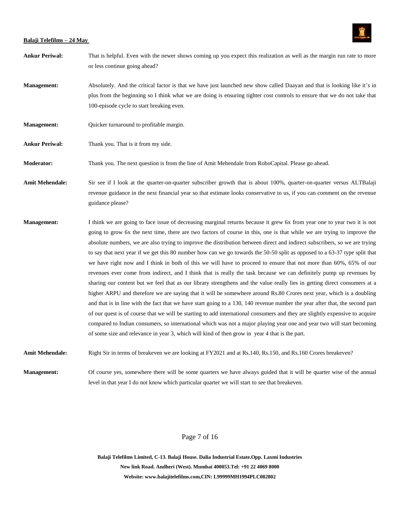

- **Ankur Periwal:** That is helpful. Even with the newer shows coming up you expect this realization as well as the margin run rate to more or less continue going ahead?
- **Management:** Absolutely. And the critical factor is that we have just launched new show called Daayan and that is looking like it's in plus from the beginning so I think what we are doing is ensuring tighter cost controls to ensure that we do not take that 100-episode cycle to start breaking even.
- **Management:** Quicker turnaround to profitable margin.
- **Ankur Periwal:** Thank you. That is it from my side.
- **Moderator:** Thank you. The next question is from the line of Amit Mehendale from RoboCapital. Please go ahead.
- Amit Mehendale: Sir see if I look at the quarter-on-quarter subscriber growth that is about 100%, quarter-on-quarter versus ALTBalaji revenue guidance in the next financial year so that estimate looks conservative to us, if you can comment on the revenue guidance please?
- **Management:** I think we are going to face issue of decreasing marginal returns because it grew 6x from year one to year two it is not going to grow 6x the next time, there are two factors of course in this, one is that while we are trying to improve the absolute numbers, we are also trying to improve the distribution between direct and indirect subscribers, so we are trying to say that next year if we get this 80 number how can we go towards the 50-50 split as opposed to a 63-37 type split that we have right now and I think in both of this we will have to proceed to ensure that not more than 60%, 65% of our revenues ever come from indirect, and I think that is really the task because we can definitely pump up revenues by sharing our content but we feel that as our library strengthens and the value really lies in getting direct consumers at a higher ARPU and therefore we are saying that it will be somewhere around Rs.80 Crores next year, which is a doubling and that is in line with the fact that we have start going to a 130, 140 revenue number the year after that, the second part of our quest is of course that we will be starting to add international consumers and they are slightly expensive to acquire compared to Indian consumers, so international which was not a major playing year one and year two will start becoming of some size and relevance in year 3, which will kind of then grow in year 4 that is the part.
- **Amit Mehendale:** Right Sir in terms of breakeven we are looking at FY2021 and at Rs.140, Rs.150, and Rs.160 Crores breakeven?

**Management:** Of course yes, somewhere there will be some quarters we have always guided that it will be quarter wise of the annual level in that year I do not know which particular quarter we will start to see that breakeven.

# Page 7 of 16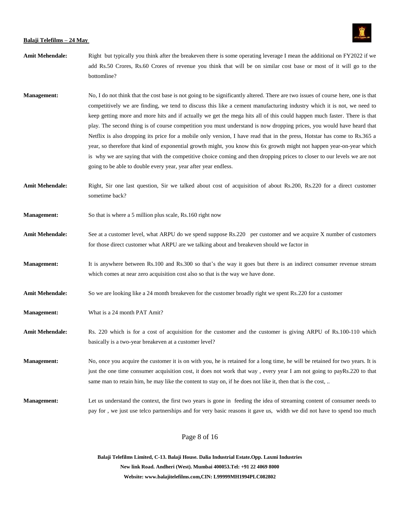

- **Amit Mehendale:** Right but typically you think after the breakeven there is some operating leverage I mean the additional on FY2022 if we add Rs.50 Crores, Rs.60 Crores of revenue you think that will be on similar cost base or most of it will go to the bottomline?
- **Management:** No, I do not think that the cost base is not going to be significantly altered. There are two issues of course here, one is that competitively we are finding, we tend to discuss this like a cement manufacturing industry which it is not, we need to keep getting more and more hits and if actually we get the mega hits all of this could happen much faster. There is that play. The second thing is of course competition you must understand is now dropping prices, you would have heard that Netflix is also dropping its price for a mobile only version, I have read that in the press, Hotstar has come to Rs.365 a year, so therefore that kind of exponential growth might, you know this 6x growth might not happen year-on-year which is why we are saying that with the competitive choice coming and then dropping prices to closer to our levels we are not going to be able to double every year, year after year endless.
- **Amit Mehendale:** Right, Sir one last question, Sir we talked about cost of acquisition of about Rs.200, Rs.220 for a direct customer sometime back?
- **Management:** So that is where a 5 million plus scale, Rs.160 right now
- Amit Mehendale: See at a customer level, what ARPU do we spend suppose Rs.220 per customer and we acquire X number of customers for those direct customer what ARPU are we talking about and breakeven should we factor in
- **Management:** It is anywhere between Rs.100 and Rs.300 so that's the way it goes but there is an indirect consumer revenue stream which comes at near zero acquisition cost also so that is the way we have done.
- **Amit Mehendale:** So we are looking like a 24 month breakeven for the customer broadly right we spent Rs.220 for a customer
- **Management:** What is a 24 month PAT Amit?
- **Amit Mehendale:** Rs. 220 which is for a cost of acquisition for the customer and the customer is giving ARPU of Rs.100-110 which basically is a two-year breakeven at a customer level?

**Management:** No, once you acquire the customer it is on with you, he is retained for a long time, he will be retained for two years. It is just the one time consumer acquisition cost, it does not work that way , every year I am not going to payRs.220 to that same man to retain him, he may like the content to stay on, if he does not like it, then that is the cost, ...

**Management:** Let us understand the context, the first two years is gone in feeding the idea of streaming content of consumer needs to pay for , we just use telco partnerships and for very basic reasons it gave us, width we did not have to spend too much

Page 8 of 16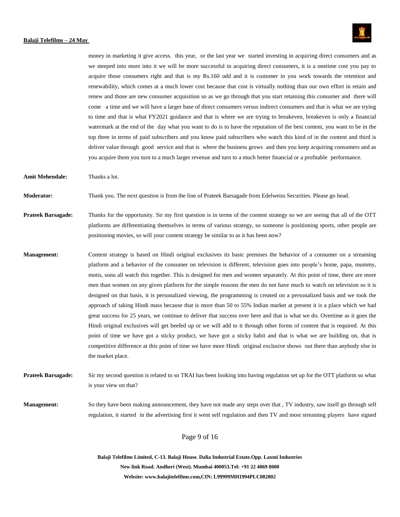

money in marketing it give access. this year, or the last year we started investing in acquiring direct consumers and as we steeped into more into it we will be more successful in acquiring direct consumers, it is a onetime cost you pay to acquire those consumers right and that is my Rs.160 odd and it is customer in you work towards the retention and renewability, which comes at a much lower cost because that cost is virtually nothing than our own effort in retain and renew and those are new consumer acquisition so as we go through that you start retaining this consumer and there will come a time and we will have a larger base of direct consumers versus indirect consumers and that is what we are trying to time and that is what FY2021 guidance and that is where we are trying to breakeven, breakeven is only a financial watermark at the end of the day what you want to do is to have the reputation of the best content, you want to be in the top three in terms of paid subscribers and you know paid subscribers who watch this kind of in the content and third is deliver value through good service and that is where the business grows and then you keep acquiring consumers and as you acquire them you turn to a much larger revenue and turn to a much better financial or a profitable performance.

**Amit Mehendale:** Thanks a lot.

**Moderator:** Thank you. The next question is from the line of Prateek Barsagade from Edelweiss Securities. Please go head.

**Prateek Barsagade:** Thanks for the opportunity. Sir my first question is in terms of the content strategy so we are seeing that all of the OTT platforms are differentiating themselves in terms of various strategy, so someone is positioning sports, other people are positioning movies, so will your content strategy be similar to as it has been now?

**Management:** Content strategy is based on Hindi original exclusives its basic premises the behavior of a consumer on a streaming platform and a behavior of the consumer on television is different, television goes into people's home, papa, mummy, motis, sonu all watch this together. This is designed for men and women separately. At this point of time, there are more men than women on any given platform for the simple reasons the men do not have much to watch on television so it is designed on that basis, it is personalized viewing, the programming is created on a personalized basis and we took the approach of taking Hindi mass because that is more than 50 to 55% Indian market at present it is a place which we had great success for 25 years, we continue to deliver that success over here and that is what we do. Overtime as it goes the Hindi original exclusives will get beefed up or we will add to it through other forms of content that is required. At this point of time we have got a sticky product, we have got a sticky habit and that is what we are building on, that is competitive difference at this point of time we have more Hindi original exclusive shows out there than anybody else in the market place.

**Prateek Barsagade:** Sir my second question is related to so TRAI has been looking into having regulation set up for the OTT platform so what is your view on that?

**Management:** So they have been making announcement, they have not made any steps over that , TV industry, saw itself go through self regulation, it started in the advertising first it went self regulation and then TV and most streaming players have signed

Page 9 of 16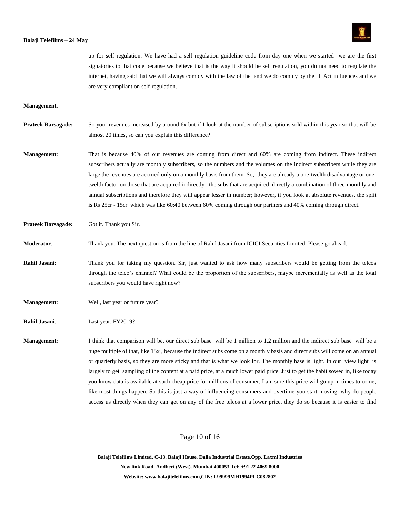

up for self regulation. We have had a self regulation guideline code from day one when we started we are the first signatories to that code because we believe that is the way it should be self regulation, you do not need to regulate the internet, having said that we will always comply with the law of the land we do comply by the IT Act influences and we are very compliant on self-regulation.

#### **Management**:

- **Prateek Barsagade:** So your revenues increased by around 6x but if I look at the number of subscriptions sold within this year so that will be almost 20 times, so can you explain this difference?
- **Management**: That is because 40% of our revenues are coming from direct and 60% are coming from indirect. These indirect subscribers actually are monthly subscribers, so the numbers and the volumes on the indirect subscribers while they are large the revenues are accrued only on a monthly basis from them. So, they are already a one-twelth disadvantage or onetwelth factor on those that are acquired indirectly , the subs that are acquired directly a combination of three-monthly and annual subscriptions and therefore they will appear lesser in number; however, if you look at absolute revenues, the split is Rs 25cr - 15cr which was like 60:40 between 60% coming through our partners and 40% coming through direct.

#### **Prateek Barsagade:** Got it. Thank you Sir.

## **Moderator**: Thank you. The next question is from the line of Rahil Jasani from ICICI Securities Limited. Please go ahead.

- **Rahil Jasani**: Thank you for taking my question. Sir, just wanted to ask how many subscribers would be getting from the telcos through the telco's channel? What could be the proportion of the subscribers, maybe incrementally as well as the total subscribers you would have right now?
- **Management:** Well, last year or future year?

**Rahil Jasani**: Last year, FY2019?

**Management**: I think that comparison will be, our direct sub base will be 1 million to 1.2 million and the indirect sub base will be a huge multiple of that, like 15x , because the indirect subs come on a monthly basis and direct subs will come on an annual or quarterly basis, so they are more sticky and that is what we look for. The monthly base is light. In our view light is largely to get sampling of the content at a paid price, at a much lower paid price. Just to get the habit sowed in, like today you know data is available at such cheap price for millions of consumer, I am sure this price will go up in times to come, like most things happen. So this is just a way of influencing consumers and overtime you start moving, why do people access us directly when they can get on any of the free telcos at a lower price, they do so because it is easier to find

## Page 10 of 16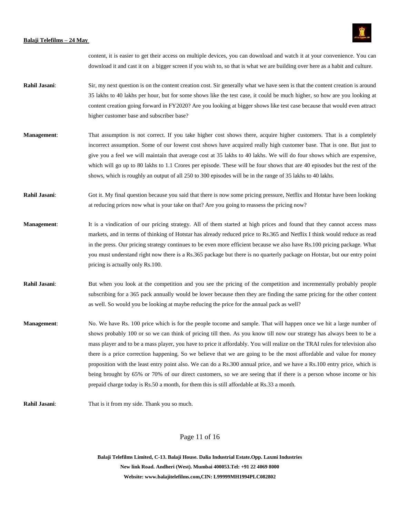

content, it is easier to get their access on multiple devices, you can download and watch it at your convenience. You can download it and cast it on a bigger screen if you wish to, so that is what we are building over here as a habit and culture.

- **Rahil Jasani:** Sir, my next question is on the content creation cost. Sir generally what we have seen is that the content creation is around 35 lakhs to 40 lakhs per hour, but for some shows like the test case, it could be much higher, so how are you looking at content creation going forward in FY2020? Are you looking at bigger shows like test case because that would even attract higher customer base and subscriber base?
- **Management:** That assumption is not correct. If you take higher cost shows there, acquire higher customers. That is a completely incorrect assumption. Some of our lowest cost shows have acquired really high customer base. That is one. But just to give you a feel we will maintain that average cost at 35 lakhs to 40 lakhs. We will do four shows which are expensive, which will go up to 80 lakhs to 1.1 Crores per episode. These will be four shows that are 40 episodes but the rest of the shows, which is roughly an output of all 250 to 300 episodes will be in the range of 35 lakhs to 40 lakhs.
- **Rahil Jasani:** Got it. My final question because you said that there is now some pricing pressure, Netflix and Hotstar have been looking at reducing prices now what is your take on that? Are you going to reassess the pricing now?
- **Management:** It is a vindication of our pricing strategy. All of them started at high prices and found that they cannot access mass markets, and in terms of thinking of Hotstar has already reduced price to Rs.365 and Netflix I think would reduce as read in the press. Our pricing strategy continues to be even more efficient because we also have Rs.100 pricing package. What you must understand right now there is a Rs.365 package but there is no quarterly package on Hotstar, but our entry point pricing is actually only Rs.100.
- **Rahil Jasani:** But when you look at the competition and you see the pricing of the competition and incrementally probably people subscribing for a 365 pack annually would be lower because then they are finding the same pricing for the other content as well. So would you be looking at maybe reducing the price for the annual pack as well?
- **Management**: No. We have Rs. 100 price which is for the people tocome and sample. That will happen once we hit a large number of shows probably 100 or so we can think of pricing till then. As you know till now our strategy has always been to be a mass player and to be a mass player, you have to price it affordably. You will realize on the TRAI rules for television also there is a price correction happening. So we believe that we are going to be the most affordable and value for money proposition with the least entry point also. We can do a Rs.300 annual price, and we have a Rs.100 entry price, which is being brought by 65% or 70% of our direct customers, so we are seeing that if there is a person whose income or his prepaid charge today is Rs.50 a month, for them this is still affordable at Rs.33 a month.
- **Rahil Jasani**: That is it from my side. Thank you so much.

Page 11 of 16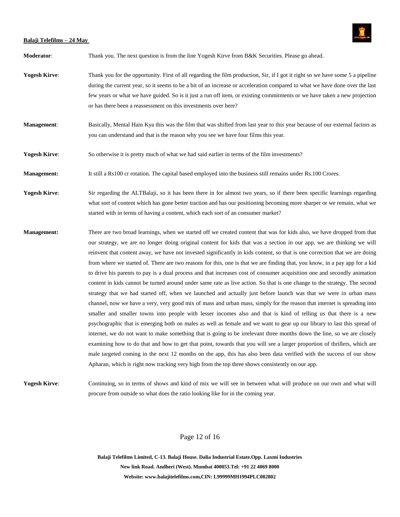

**Moderator**: Thank you. The next question is from the line Yogesh Kirve from B&K Securities. Please go ahead.

- Yogesh Kirve: Thank you for the opportunity. First of all regarding the film production, Sir, if I got it right so we have some 5 a pipeline during the current year, so it seems to be a bit of an increase or acceleration compared to what we have done over the last few years or what we have guided. So is it just a run off item, or existing commitments or we have taken a new projection or has there been a reassessment on this investments over here?
- **Management**: Basically, Mental Hain Kya this was the film that was shifted from last year to this year because of our external factors as you can understand and that is the reason why you see we have four films this year.
- **Yogesh Kirve**: So otherwise it is pretty much of what we had said earlier in terms of the film investments?
- **Management:** It still a Rs100 cr rotation. The capital based employed into the business still remains under Rs.100 Crores.

**Yogesh Kirve:** Sir regarding the ALTBalaji, so it has been there in for almost two years, so if there been specific learnings regarding what sort of content which has gone better traction and has our positioning becoming more sharper or we remain, what we started with in terms of having a content, which each sort of an consumer market?

**Management:** There are two broad learnings, when we started off we created content that was for kids also, we have dropped from that our strategy, we are no longer doing original content for kids that was a section in our app, we are thinking we will reinvent that content away, we have not invested significantly in kids content, so that is one correction that we are doing from where we started of. There are two reasons for this, one is that we are finding that, you know, in a pay app for a kid to drive his parents to pay is a dual process and that increases cost of consumer acquisition one and secondly animation content in kids cannot be turned around under same rate as live action. So that is one change to the strategy. The second strategy that we had started off, when we launched and actually just before launch was that we were in urban mass channel, now we have a very, very good mix of mass and urban mass, simply for the reason that internet is spreading into smaller and smaller towns into people with lesser incomes also and that is kind of telling us that there is a new psychographic that is emerging both on males as well as female and we want to gear up our library to last this spread of internet, we do not want to make something that is going to be irrelevant three months down the line, so we are closely examining how to do that and how to get that point, towards that you will see a larger proportion of thrillers, which are male targeted coming in the next 12 months on the app, this has also been data verified with the success of our show Apharan, which is right now tracking very high from the top three shows consistently on our app.

Yogesh Kirve: Continuing, so in terms of shows and kind of mix we will see in between what will produce on our own and what will procure from outside so what does the ratio looking like for in the coming year.

# Page 12 of 16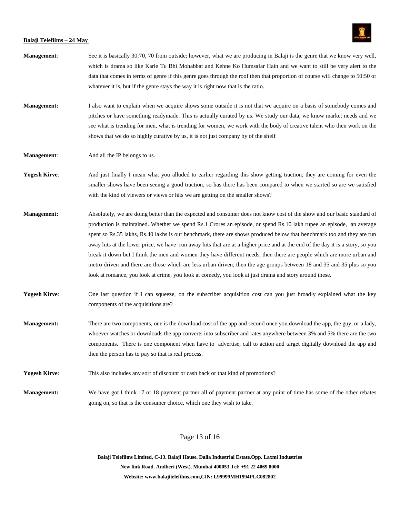

| Management:          | See it is basically 30:70, 70 from outside; however, what we are producing in Balaji is the genre that we know very well,<br>which is drama so like Karle Tu Bhi Mohabbat and Kehne Ko Humsafar Hain and we want to still be very alert to the<br>data that comes in terms of genre if this genre goes through the roof then that proportion of course will change to 50:50 or<br>whatever it is, but if the genre stays the way it is right now that is the ratio.                                                                                                                                                                                                                                                                                                                                                                                                     |
|----------------------|-------------------------------------------------------------------------------------------------------------------------------------------------------------------------------------------------------------------------------------------------------------------------------------------------------------------------------------------------------------------------------------------------------------------------------------------------------------------------------------------------------------------------------------------------------------------------------------------------------------------------------------------------------------------------------------------------------------------------------------------------------------------------------------------------------------------------------------------------------------------------|
| <b>Management:</b>   | I also want to explain when we acquire shows some outside it is not that we acquire on a basis of somebody comes and<br>pitches or have something readymade. This is actually curated by us. We study our data, we know market needs and we<br>see what is trending for men, what is trending for women, we work with the body of creative talent who then work on the<br>shows that we do so highly curative by us, it is not just company by of the shelf                                                                                                                                                                                                                                                                                                                                                                                                             |
| <b>Management:</b>   | And all the IP belongs to us.                                                                                                                                                                                                                                                                                                                                                                                                                                                                                                                                                                                                                                                                                                                                                                                                                                           |
| <b>Yogesh Kirve:</b> | And just finally I mean what you alluded to earlier regarding this show getting traction, they are coming for even the<br>smaller shows have been seeing a good traction, so has there has been compared to when we started so are we satisfied<br>with the kind of viewers or views or hits we are getting on the smaller shows?                                                                                                                                                                                                                                                                                                                                                                                                                                                                                                                                       |
| <b>Management:</b>   | Absolutely, we are doing better than the expected and consumer does not know cost of the show and our basic standard of<br>production is maintained. Whether we spend Rs.1 Crores an episode, or spend Rs.10 lakh rupee an episode, an average<br>spent so Rs.35 lakhs, Rs.40 lakhs is our benchmark, there are shows produced below that benchmark too and they are run<br>away hits at the lower price, we have run away hits that are at a higher price and at the end of the day it is a story, so you<br>break it down but I think the men and women they have different needs, then there are people which are more urban and<br>metro driven and there are those which are less urban driven, then the age groups between 18 and 35 and 35 plus so you<br>look at romance, you look at crime, you look at comedy, you look at just drama and story around these. |
| <b>Yogesh Kirve:</b> | One last question if I can squeeze, on the subscriber acquisition cost can you just broadly explained what the key<br>components of the acquisitions are?                                                                                                                                                                                                                                                                                                                                                                                                                                                                                                                                                                                                                                                                                                               |
| <b>Management:</b>   | There are two components, one is the download cost of the app and second once you download the app, the guy, or a lady,<br>whoever watches or downloads the app converts into subscriber and rates anywhere between 3% and 5% there are the two<br>components. There is one component when have to advertise, call to action and target digitally download the app and<br>then the person has to pay so that is real process.                                                                                                                                                                                                                                                                                                                                                                                                                                           |
| <b>Yogesh Kirve:</b> | This also includes any sort of discount or cash back or that kind of promotions?                                                                                                                                                                                                                                                                                                                                                                                                                                                                                                                                                                                                                                                                                                                                                                                        |
| <b>Management:</b>   | We have got I think 17 or 18 payment partner all of payment partner at any point of time has some of the other rebates<br>going on, so that is the consumer choice, which one they wish to take.                                                                                                                                                                                                                                                                                                                                                                                                                                                                                                                                                                                                                                                                        |

# Page 13 of 16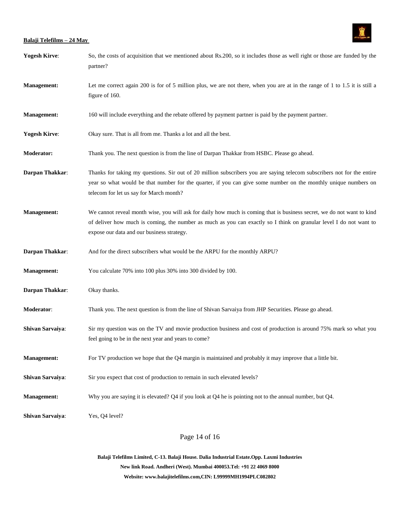

| <b>Yogesh Kirve:</b> | So, the costs of acquisition that we mentioned about Rs.200, so it includes those as well right or those are funded by the<br>partner?                                                                                                                                                     |
|----------------------|--------------------------------------------------------------------------------------------------------------------------------------------------------------------------------------------------------------------------------------------------------------------------------------------|
| <b>Management:</b>   | Let me correct again 200 is for of 5 million plus, we are not there, when you are at in the range of 1 to 1.5 it is still a<br>figure of 160.                                                                                                                                              |
| <b>Management:</b>   | 160 will include everything and the rebate offered by payment partner is paid by the payment partner.                                                                                                                                                                                      |
| <b>Yogesh Kirve:</b> | Okay sure. That is all from me. Thanks a lot and all the best.                                                                                                                                                                                                                             |
| <b>Moderator:</b>    | Thank you. The next question is from the line of Darpan Thakkar from HSBC. Please go ahead.                                                                                                                                                                                                |
| Darpan Thakkar:      | Thanks for taking my questions. Sir out of 20 million subscribers you are saying telecom subscribers not for the entire<br>year so what would be that number for the quarter, if you can give some number on the monthly unique numbers on<br>telecom for let us say for March month?      |
| <b>Management:</b>   | We cannot reveal month wise, you will ask for daily how much is coming that is business secret, we do not want to kind<br>of deliver how much is coming, the number as much as you can exactly so I think on granular level I do not want to<br>expose our data and our business strategy. |
| Darpan Thakkar:      | And for the direct subscribers what would be the ARPU for the monthly ARPU?                                                                                                                                                                                                                |
| <b>Management:</b>   | You calculate 70% into 100 plus 30% into 300 divided by 100.                                                                                                                                                                                                                               |
| Darpan Thakkar:      | Okay thanks.                                                                                                                                                                                                                                                                               |
| Moderator:           | Thank you. The next question is from the line of Shivan Sarvaiya from JHP Securities. Please go ahead.                                                                                                                                                                                     |
| Shivan Sarvaiya:     | Sir my question was on the TV and movie production business and cost of production is around 75% mark so what you<br>feel going to be in the next year and years to come?                                                                                                                  |
| <b>Management:</b>   | For TV production we hope that the Q4 margin is maintained and probably it may improve that a little bit.                                                                                                                                                                                  |
| Shivan Sarvaiya:     | Sir you expect that cost of production to remain in such elevated levels?                                                                                                                                                                                                                  |
| <b>Management:</b>   | Why you are saying it is elevated? Q4 if you look at Q4 he is pointing not to the annual number, but Q4.                                                                                                                                                                                   |
| Shivan Sarvaiya:     | Yes, Q4 level?                                                                                                                                                                                                                                                                             |

Page 14 of 16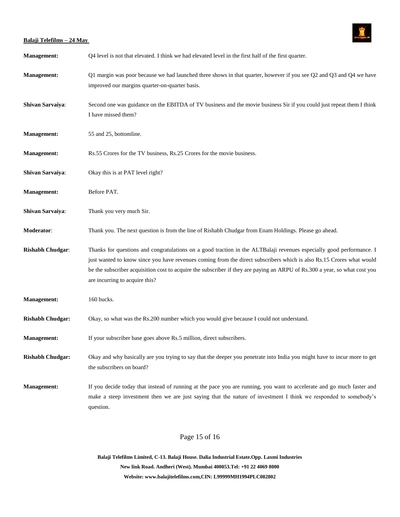

| <b>Management:</b>      | Q4 level is not that elevated. I think we had elevated level in the first half of the first quarter.                                                                                                                                                                                                                                                                                                         |
|-------------------------|--------------------------------------------------------------------------------------------------------------------------------------------------------------------------------------------------------------------------------------------------------------------------------------------------------------------------------------------------------------------------------------------------------------|
| <b>Management:</b>      | Q1 margin was poor because we had launched three shows in that quarter, however if you see $Q2$ and $Q3$ and $Q4$ we have<br>improved our margins quarter-on-quarter basis.                                                                                                                                                                                                                                  |
| Shivan Sarvaiya:        | Second one was guidance on the EBITDA of TV business and the movie business Sir if you could just repeat them I think<br>I have missed them?                                                                                                                                                                                                                                                                 |
| <b>Management:</b>      | 55 and 25, bottomline.                                                                                                                                                                                                                                                                                                                                                                                       |
| <b>Management:</b>      | Rs.55 Crores for the TV business, Rs.25 Crores for the movie business.                                                                                                                                                                                                                                                                                                                                       |
| Shivan Sarvaiya:        | Okay this is at PAT level right?                                                                                                                                                                                                                                                                                                                                                                             |
| <b>Management:</b>      | Before PAT.                                                                                                                                                                                                                                                                                                                                                                                                  |
| Shivan Sarvaiya:        | Thank you very much Sir.                                                                                                                                                                                                                                                                                                                                                                                     |
| Moderator:              | Thank you. The next question is from the line of Rishabh Chudgar from Enam Holdings. Please go ahead.                                                                                                                                                                                                                                                                                                        |
| <b>Rishabh Chudgar:</b> | Thanks for questions and congratulations on a good traction in the ALTBalaji revenues especially good performance. I<br>just wanted to know since you have revenues coming from the direct subscribers which is also Rs.15 Crores what would<br>be the subscriber acquisition cost to acquire the subscriber if they are paying an ARPU of Rs.300 a year, so what cost you<br>are incurring to acquire this? |
| <b>Management:</b>      | 160 bucks.                                                                                                                                                                                                                                                                                                                                                                                                   |
| <b>Rishabh Chudgar:</b> | Okay, so what was the Rs.200 number which you would give because I could not understand.                                                                                                                                                                                                                                                                                                                     |
| <b>Management:</b>      | If your subscriber base goes above Rs.5 million, direct subscribers.                                                                                                                                                                                                                                                                                                                                         |
| <b>Rishabh Chudgar:</b> | Okay and why basically are you trying to say that the deeper you penetrate into India you might have to incur more to get<br>the subscribers on board?                                                                                                                                                                                                                                                       |
| <b>Management:</b>      | If you decide today that instead of running at the pace you are running, you want to accelerate and go much faster and<br>make a steep investment then we are just saying that the nature of investment I think we responded to somebody's<br>question.                                                                                                                                                      |

Page 15 of 16